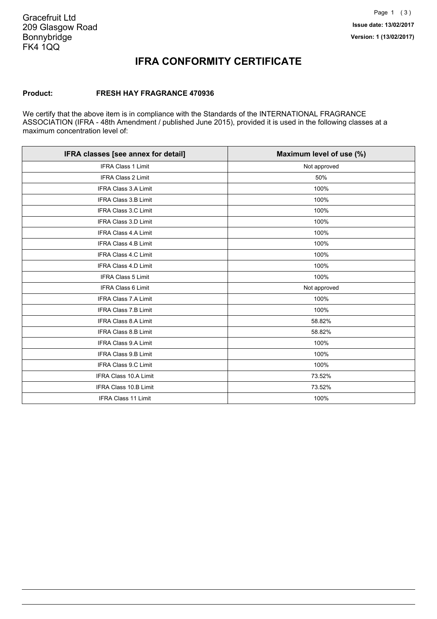### **IFRA CONFORMITY CERTIFICATE**

### **Product: FRESH HAY FRAGRANCE 470936**

We certify that the above item is in compliance with the Standards of the INTERNATIONAL FRAGRANCE ASSOCIATION (IFRA - 48th Amendment / published June 2015), provided it is used in the following classes at a maximum concentration level of:

| IFRA classes [see annex for detail] | Maximum level of use (%) |
|-------------------------------------|--------------------------|
| IFRA Class 1 Limit                  | Not approved             |
| IFRA Class 2 Limit                  | 50%                      |
| <b>IFRA Class 3.A Limit</b>         | 100%                     |
| <b>IFRA Class 3.B Limit</b>         | 100%                     |
| IFRA Class 3.C Limit                | 100%                     |
| <b>IFRA Class 3.D Limit</b>         | 100%                     |
| <b>IFRA Class 4.A Limit</b>         | 100%                     |
| <b>IFRA Class 4.B Limit</b>         | 100%                     |
| <b>IFRA Class 4.C Limit</b>         | 100%                     |
| IFRA Class 4.D Limit                | 100%                     |
| <b>IFRA Class 5 Limit</b>           | 100%                     |
| <b>IFRA Class 6 Limit</b>           | Not approved             |
| <b>IFRA Class 7.A Limit</b>         | 100%                     |
| IFRA Class 7.B Limit                | 100%                     |
| IFRA Class 8.A Limit                | 58.82%                   |
| IFRA Class 8.B Limit                | 58.82%                   |
| <b>IFRA Class 9.A Limit</b>         | 100%                     |
| <b>IFRA Class 9.B Limit</b>         | 100%                     |
| <b>IFRA Class 9.C Limit</b>         | 100%                     |
| IFRA Class 10.A Limit               | 73.52%                   |
| IFRA Class 10.B Limit               | 73.52%                   |
| <b>IFRA Class 11 Limit</b>          | 100%                     |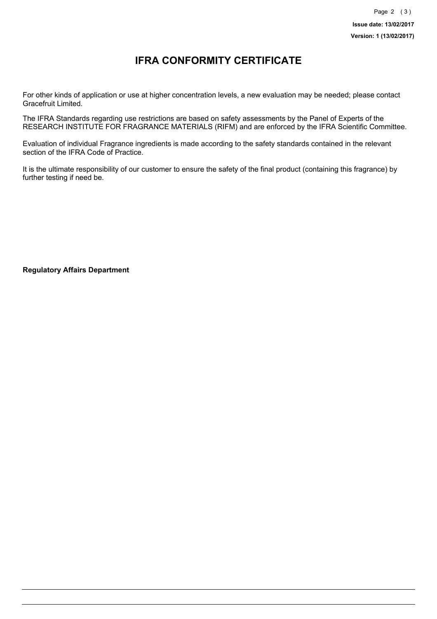## **IFRA CONFORMITY CERTIFICATE**

For other kinds of application or use at higher concentration levels, a new evaluation may be needed; please contact Gracefruit Limited.

The IFRA Standards regarding use restrictions are based on safety assessments by the Panel of Experts of the RESEARCH INSTITUTE FOR FRAGRANCE MATERIALS (RIFM) and are enforced by the IFRA Scientific Committee.

Evaluation of individual Fragrance ingredients is made according to the safety standards contained in the relevant section of the IFRA Code of Practice.

It is the ultimate responsibility of our customer to ensure the safety of the final product (containing this fragrance) by further testing if need be.

**Regulatory Affairs Department**